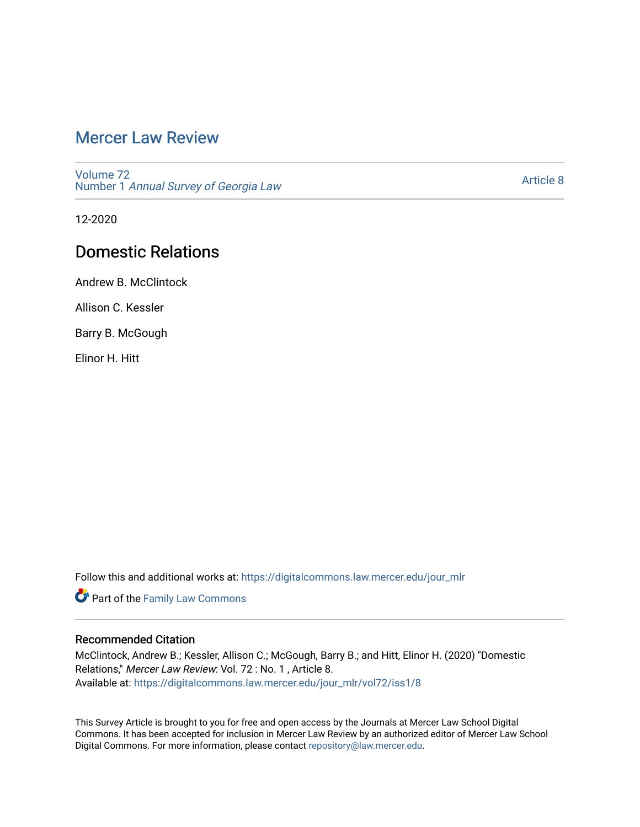# [Mercer Law Review](https://digitalcommons.law.mercer.edu/jour_mlr)

[Volume 72](https://digitalcommons.law.mercer.edu/jour_mlr/vol72) Number 1 [Annual Survey of Georgia Law](https://digitalcommons.law.mercer.edu/jour_mlr/vol72/iss1) 

[Article 8](https://digitalcommons.law.mercer.edu/jour_mlr/vol72/iss1/8) 

12-2020

## Domestic Relations

Andrew B. McClintock

Allison C. Kessler

Barry B. McGough

Elinor H. Hitt

Follow this and additional works at: [https://digitalcommons.law.mercer.edu/jour\\_mlr](https://digitalcommons.law.mercer.edu/jour_mlr?utm_source=digitalcommons.law.mercer.edu%2Fjour_mlr%2Fvol72%2Fiss1%2F8&utm_medium=PDF&utm_campaign=PDFCoverPages)

**Part of the Family Law Commons** 

## Recommended Citation

McClintock, Andrew B.; Kessler, Allison C.; McGough, Barry B.; and Hitt, Elinor H. (2020) "Domestic Relations," Mercer Law Review: Vol. 72 : No. 1 , Article 8. Available at: [https://digitalcommons.law.mercer.edu/jour\\_mlr/vol72/iss1/8](https://digitalcommons.law.mercer.edu/jour_mlr/vol72/iss1/8?utm_source=digitalcommons.law.mercer.edu%2Fjour_mlr%2Fvol72%2Fiss1%2F8&utm_medium=PDF&utm_campaign=PDFCoverPages)

This Survey Article is brought to you for free and open access by the Journals at Mercer Law School Digital Commons. It has been accepted for inclusion in Mercer Law Review by an authorized editor of Mercer Law School Digital Commons. For more information, please contact [repository@law.mercer.edu](mailto:repository@law.mercer.edu).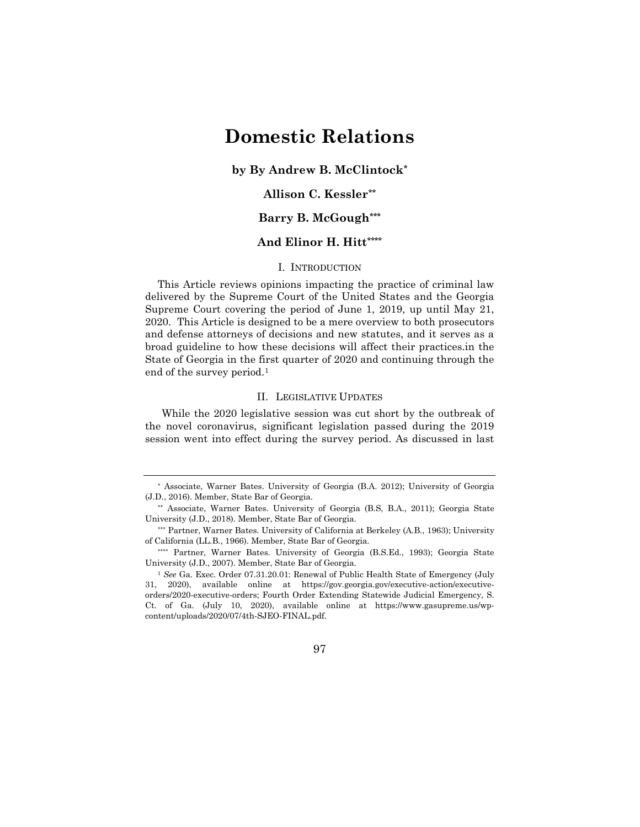# **Domestic Relations**

**by By Andrew B. McClintoc[k\\*](#page-1-0)**

## **Allison C. Kessler[\\*\\*](#page-1-1)**

## **Barry B. McGough[\\*\\*\\*](#page-1-2)**

## **And Elinor H. Hit[t\\*\\*\\*\\*](#page-1-3)**

#### I. INTRODUCTION

This Article reviews opinions impacting the practice of criminal law delivered by the Supreme Court of the United States and the Georgia Supreme Court covering the period of June 1, 2019, up until May 21, 2020. This Article is designed to be a mere overview to both prosecutors and defense attorneys of decisions and new statutes, and it serves as a broad guideline to how these decisions will affect their practices.in the State of Georgia in the first quarter of 2020 and continuing through the end of the survey period.<sup>[1](#page-1-4)</sup>

## II. LEGISLATIVE UPDATES

While the 2020 legislative session was cut short by the outbreak of the novel coronavirus, significant legislation passed during the 2019 session went into effect during the survey period. As discussed in last

<span id="page-1-0"></span><sup>\*</sup> Associate, Warner Bates. University of Georgia (B.A. 2012); University of Georgia (J.D., 2016). Member, State Bar of Georgia.

<span id="page-1-1"></span><sup>\*\*</sup> Associate, Warner Bates. University of Georgia (B.S, B.A., 2011); Georgia State University (J.D., 2018). Member, State Bar of Georgia.

<span id="page-1-2"></span><sup>\*\*\*</sup> Partner, Warner Bates. University of California at Berkeley (A.B., 1963); University of California (LL.B., 1966). Member, State Bar of Georgia.

<span id="page-1-3"></span><sup>\*\*\*\*</sup> Partner, Warner Bates. University of Georgia (B.S.Ed., 1993); Georgia State University (J.D., 2007). Member, State Bar of Georgia.

<span id="page-1-4"></span><sup>1</sup> *See* Ga. Exec. Order 07.31.20.01: Renewal of Public Health State of Emergency (July 31, 2020), available online at https://gov.georgia.gov/executive-action/executiveorders/2020-executive-orders; Fourth Order Extending Statewide Judicial Emergency, S. Ct. of Ga. (July 10, 2020), available online at https://www.gasupreme.us/wpcontent/uploads/2020/07/4th-SJEO-FINAL.pdf.

<sup>97</sup>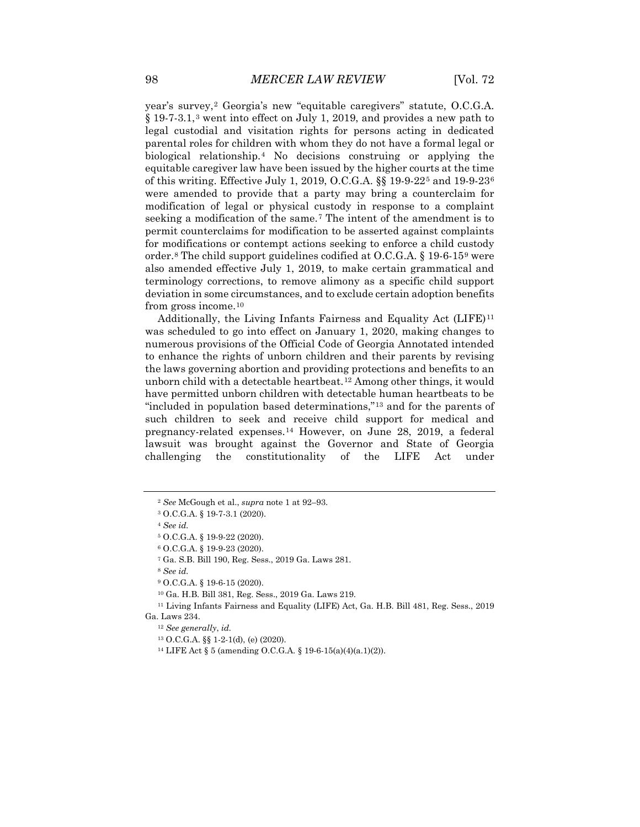year's survey,<sup>[2](#page-2-0)</sup> Georgia's new "equitable caregivers" statute, O.C.G.A. § 19-7-3.1,[3](#page-2-1) went into effect on July 1, 2019, and provides a new path to legal custodial and visitation rights for persons acting in dedicated parental roles for children with whom they do not have a formal legal or biological relationship.[4](#page-2-2) No decisions construing or applying the equitable caregiver law have been issued by the higher courts at the time of this writing. Effective July 1, 2019, O.C.G.A. §§ 19-9-22[5](#page-2-3) and 19-9-23[6](#page-2-4) were amended to provide that a party may bring a counterclaim for modification of legal or physical custody in response to a complaint seeking a modification of the same.<sup>[7](#page-2-5)</sup> The intent of the amendment is to permit counterclaims for modification to be asserted against complaints for modifications or contempt actions seeking to enforce a child custody order.<sup>[8](#page-2-6)</sup> The child support guidelines codified at  $O.C.G.A. \S 19-6-15^9$  $O.C.G.A. \S 19-6-15^9$  $O.C.G.A. \S 19-6-15^9$  were also amended effective July 1, 2019, to make certain grammatical and terminology corrections, to remove alimony as a specific child support deviation in some circumstances, and to exclude certain adoption benefits from gross income.[10](#page-2-8)

Additionally, the Living Infants Fairness and Equality Act  $(LIFE)^{11}$  $(LIFE)^{11}$  $(LIFE)^{11}$ was scheduled to go into effect on January 1, 2020, making changes to numerous provisions of the Official Code of Georgia Annotated intended to enhance the rights of unborn children and their parents by revising the laws governing abortion and providing protections and benefits to an unborn child with a detectable heartbeat.[12](#page-2-10) Among other things, it would have permitted unborn children with detectable human heartbeats to be "included in population based determinations,"[13](#page-2-11) and for the parents of such children to seek and receive child support for medical and pregnancy-related expenses.[14](#page-2-12) However, on June 28, 2019, a federal lawsuit was brought against the Governor and State of Georgia challenging the constitutionality of the LIFE Act under

<sup>7</sup> Ga. S.B. Bill 190, Reg. Sess., 2019 Ga. Laws 281.

<sup>8</sup> *See id.*

<sup>12</sup> *See generally*, *id.*

<sup>2</sup> *See* McGough et al., *supra* note 1 at 92–93.

<span id="page-2-2"></span><span id="page-2-1"></span><span id="page-2-0"></span><sup>3</sup> O.C.G.A. § 19-7-3.1 (2020).

<sup>4</sup> *See id.*

<span id="page-2-3"></span><sup>5</sup> O.C.G.A. § 19-9-22 (2020).

<sup>6</sup> O.C.G.A. § 19-9-23 (2020).

<sup>9</sup> O.C.G.A. § 19-6-15 (2020).

<sup>10</sup> Ga. H.B. Bill 381, Reg. Sess., 2019 Ga. Laws 219.

<span id="page-2-12"></span><span id="page-2-11"></span><span id="page-2-10"></span><span id="page-2-9"></span><span id="page-2-8"></span><span id="page-2-7"></span><span id="page-2-6"></span><span id="page-2-5"></span><span id="page-2-4"></span><sup>11</sup> Living Infants Fairness and Equality (LIFE) Act, Ga. H.B. Bill 481, Reg. Sess., 2019 Ga. Laws 234.

<sup>13</sup> O.C.G.A. §§ 1-2-1(d), (e) (2020).

<sup>14</sup> LIFE Act § 5 (amending O.C.G.A. § 19-6-15(a)(4)(a.1)(2)).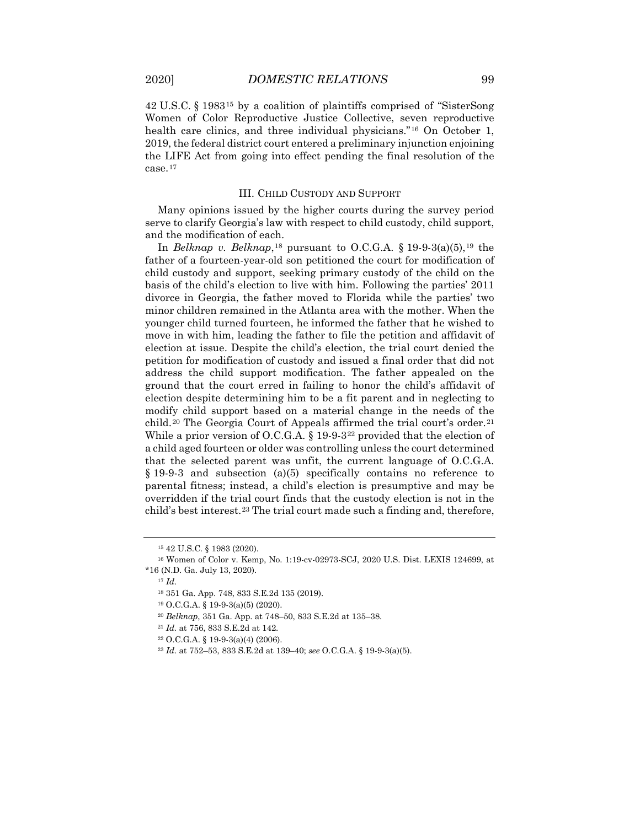42 U.S.C. § 1983[15](#page-3-0) by a coalition of plaintiffs comprised of "SisterSong Women of Color Reproductive Justice Collective, seven reproductive health care clinics, and three individual physicians."[16](#page-3-1) On October 1, 2019, the federal district court entered a preliminary injunction enjoining the LIFE Act from going into effect pending the final resolution of the case.[17](#page-3-2)

#### III. CHILD CUSTODY AND SUPPORT

Many opinions issued by the higher courts during the survey period serve to clarify Georgia's law with respect to child custody, child support, and the modification of each.

In *Belknap v. Belknap*,<sup>[18](#page-3-3)</sup> pursuant to O.C.G.A. § [19](#page-3-4)-9-3(a)(5),<sup>19</sup> the father of a fourteen-year-old son petitioned the court for modification of child custody and support, seeking primary custody of the child on the basis of the child's election to live with him. Following the parties' 2011 divorce in Georgia, the father moved to Florida while the parties' two minor children remained in the Atlanta area with the mother. When the younger child turned fourteen, he informed the father that he wished to move in with him, leading the father to file the petition and affidavit of election at issue. Despite the child's election, the trial court denied the petition for modification of custody and issued a final order that did not address the child support modification. The father appealed on the ground that the court erred in failing to honor the child's affidavit of election despite determining him to be a fit parent and in neglecting to modify child support based on a material change in the needs of the child.<sup>[20](#page-3-5)</sup> The Georgia Court of Appeals affirmed the trial court's order.<sup>[21](#page-3-6)</sup> While a prior version of O.C.G.A.  $\S$  19-9-3<sup>[22](#page-3-7)</sup> provided that the election of a child aged fourteen or older was controlling unless the court determined that the selected parent was unfit, the current language of O.C.G.A. § 19-9-3 and subsection (a)(5) specifically contains no reference to parental fitness; instead, a child's election is presumptive and may be overridden if the trial court finds that the custody election is not in the child's best interest.<sup>[23](#page-3-8)</sup> The trial court made such a finding and, therefore,

<sup>15</sup> 42 U.S.C. § 1983 (2020).

<span id="page-3-5"></span><span id="page-3-4"></span><span id="page-3-3"></span><span id="page-3-2"></span><span id="page-3-1"></span><span id="page-3-0"></span><sup>16</sup> Women of Color v. Kemp, No. 1:19-cv-02973-SCJ, 2020 U.S. Dist. LEXIS 124699, at \*16 (N.D. Ga. July 13, 2020).

<sup>17</sup> *Id.*

<sup>18</sup> 351 Ga. App. 748, 833 S.E.2d 135 (2019).

<sup>19</sup> O.C.G.A. § 19-9-3(a)(5) (2020).

<sup>20</sup> *Belknap*, 351 Ga. App. at 748–50, 833 S.E.2d at 135–38.

<span id="page-3-7"></span><span id="page-3-6"></span><sup>21</sup> *Id.* at 756, 833 S.E.2d at 142.

<sup>22</sup> O.C.G.A. § 19-9-3(a)(4) (2006).

<span id="page-3-8"></span><sup>23</sup> *Id.* at 752–53, 833 S.E.2d at 139–40; *see* O.C.G.A. § 19-9-3(a)(5).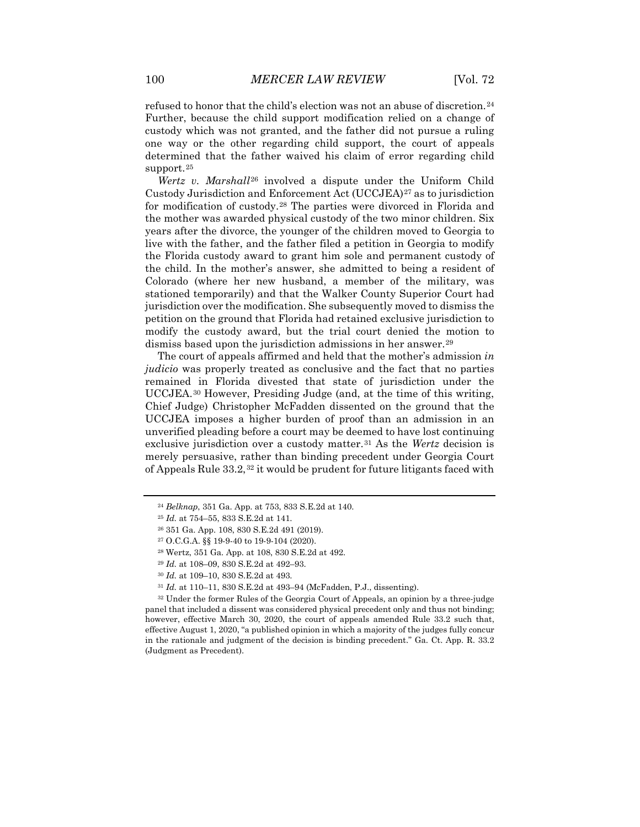refused to honor that the child's election was not an abuse of discretion.[24](#page-4-0) Further, because the child support modification relied on a change of custody which was not granted, and the father did not pursue a ruling one way or the other regarding child support, the court of appeals determined that the father waived his claim of error regarding child support.<sup>[25](#page-4-1)</sup>

*Wertz v. Marshall*[26](#page-4-2) involved a dispute under the Uniform Child Custody Jurisdiction and Enforcement Act (UCCJEA)[27](#page-4-3) as to jurisdiction for modification of custody.[28](#page-4-4) The parties were divorced in Florida and the mother was awarded physical custody of the two minor children. Six years after the divorce, the younger of the children moved to Georgia to live with the father, and the father filed a petition in Georgia to modify the Florida custody award to grant him sole and permanent custody of the child. In the mother's answer, she admitted to being a resident of Colorado (where her new husband, a member of the military, was stationed temporarily) and that the Walker County Superior Court had jurisdiction over the modification. She subsequently moved to dismiss the petition on the ground that Florida had retained exclusive jurisdiction to modify the custody award, but the trial court denied the motion to dismiss based upon the jurisdiction admissions in her answer.[29](#page-4-5)

The court of appeals affirmed and held that the mother's admission *in judicio* was properly treated as conclusive and the fact that no parties remained in Florida divested that state of jurisdiction under the UCCJEA.[30](#page-4-6) However, Presiding Judge (and, at the time of this writing, Chief Judge) Christopher McFadden dissented on the ground that the UCCJEA imposes a higher burden of proof than an admission in an unverified pleading before a court may be deemed to have lost continuing exclusive jurisdiction over a custody matter.[31](#page-4-7) As the *Wertz* decision is merely persuasive, rather than binding precedent under Georgia Court of Appeals Rule 33.2,[32](#page-4-8) it would be prudent for future litigants faced with

<span id="page-4-8"></span><span id="page-4-7"></span><span id="page-4-6"></span><span id="page-4-5"></span><span id="page-4-4"></span><span id="page-4-3"></span><sup>32</sup> Under the former Rules of the Georgia Court of Appeals, an opinion by a three-judge panel that included a dissent was considered physical precedent only and thus not binding; however, effective March 30, 2020, the court of appeals amended Rule 33.2 such that, effective August 1, 2020, "a published opinion in which a majority of the judges fully concur in the rationale and judgment of the decision is binding precedent." Ga. Ct. App. R. 33.2 (Judgment as Precedent).

<span id="page-4-0"></span><sup>24</sup> *Belknap*, 351 Ga. App. at 753, 833 S.E.2d at 140.

<span id="page-4-1"></span><sup>25</sup> *Id.* at 754–55, 833 S.E.2d at 141.

<span id="page-4-2"></span><sup>26</sup> 351 Ga. App. 108, 830 S.E.2d 491 (2019).

<sup>27</sup> O.C.G.A. §§ 19-9-40 to 19-9-104 (2020).

<sup>28</sup> Wertz, 351 Ga. App. at 108, 830 S.E.2d at 492.

<sup>29</sup> *Id.* at 108–09, 830 S.E.2d at 492–93.

<sup>30</sup> *Id.* at 109–10, 830 S.E.2d at 493.

<sup>31</sup> *Id.* at 110–11, 830 S.E.2d at 493–94 (McFadden, P.J., dissenting).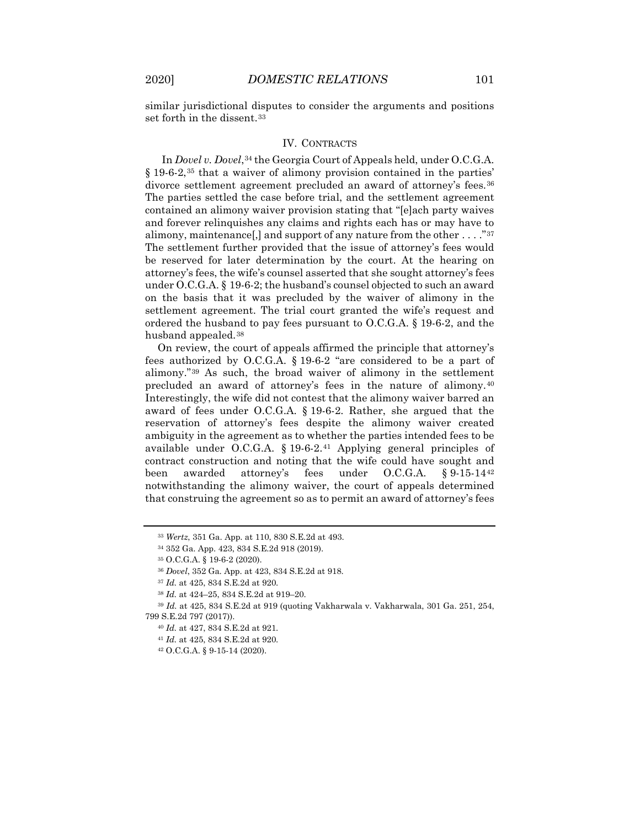similar jurisdictional disputes to consider the arguments and positions set forth in the dissent.<sup>[33](#page-5-0)</sup>

### IV. CONTRACTS

In *Dovel v. Dovel*,<sup>[34](#page-5-1)</sup> the Georgia Court of Appeals held, under O.C.G.A. § 19-6-2,<sup>[35](#page-5-2)</sup> that a waiver of alimony provision contained in the parties' divorce settlement agreement precluded an award of attorney's fees.<sup>[36](#page-5-3)</sup> The parties settled the case before trial, and the settlement agreement contained an alimony waiver provision stating that "[e]ach party waives and forever relinquishes any claims and rights each has or may have to alimony, maintenance[,] and support of any nature from the other  $\dots$ ."<sup>[37](#page-5-4)</sup> The settlement further provided that the issue of attorney's fees would be reserved for later determination by the court. At the hearing on attorney's fees, the wife's counsel asserted that she sought attorney's fees under O.C.G.A. § 19-6-2; the husband's counsel objected to such an award on the basis that it was precluded by the waiver of alimony in the settlement agreement. The trial court granted the wife's request and ordered the husband to pay fees pursuant to O.C.G.A. § 19-6-2, and the husband appealed.[38](#page-5-5)

On review, the court of appeals affirmed the principle that attorney's fees authorized by O.C.G.A. § 19-6-2 "are considered to be a part of alimony."[39](#page-5-6) As such, the broad waiver of alimony in the settlement precluded an award of attorney's fees in the nature of alimony.[40](#page-5-7) Interestingly, the wife did not contest that the alimony waiver barred an award of fees under O.C.G.A. § 19-6-2. Rather, she argued that the reservation of attorney's fees despite the alimony waiver created ambiguity in the agreement as to whether the parties intended fees to be available under O.C.G.A. § 19-6-2.[41](#page-5-8) Applying general principles of contract construction and noting that the wife could have sought and been awarded attorney's fees under O.C.G.A. § 9-15-14[42](#page-5-9) notwithstanding the alimony waiver, the court of appeals determined that construing the agreement so as to permit an award of attorney's fees

<span id="page-5-0"></span><sup>33</sup> *Wertz*, 351 Ga. App. at 110, 830 S.E.2d at 493.

<sup>34</sup> 352 Ga. App. 423, 834 S.E.2d 918 (2019).

<sup>35</sup> O.C.G.A. § 19-6-2 (2020).

<sup>36</sup> *Dovel*, 352 Ga. App. at 423, 834 S.E.2d at 918.

<sup>37</sup> *Id.* at 425, 834 S.E.2d at 920.

<sup>38</sup> *Id.* at 424–25, 834 S.E.2d at 919–20.

<span id="page-5-9"></span><span id="page-5-8"></span><span id="page-5-7"></span><span id="page-5-6"></span><span id="page-5-5"></span><span id="page-5-4"></span><span id="page-5-3"></span><span id="page-5-2"></span><span id="page-5-1"></span><sup>39</sup> *Id.* at 425, 834 S.E.2d at 919 (quoting Vakharwala v. Vakharwala, 301 Ga. 251, 254, 799 S.E.2d 797 (2017)).

<sup>40</sup> *Id.* at 427, 834 S.E.2d at 921.

<sup>41</sup> *Id.* at 425, 834 S.E.2d at 920.

<sup>42</sup> O.C.G.A. § 9-15-14 (2020).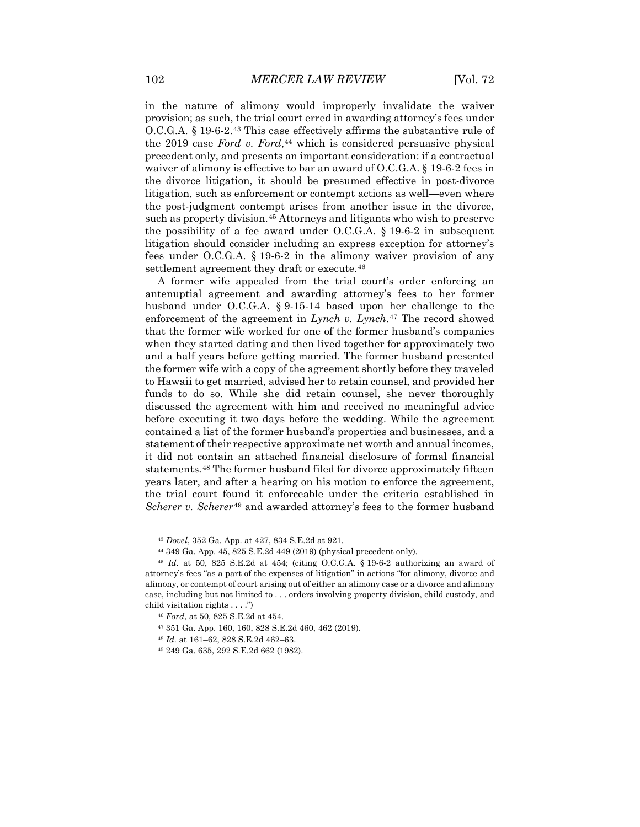in the nature of alimony would improperly invalidate the waiver provision; as such, the trial court erred in awarding attorney's fees under O.C.G.A. § 19-6-2.[43](#page-6-0) This case effectively affirms the substantive rule of the 2019 case *Ford v. Ford*,<sup>[44](#page-6-1)</sup> which is considered persuasive physical precedent only, and presents an important consideration: if a contractual waiver of alimony is effective to bar an award of O.C.G.A. § 19-6-2 fees in the divorce litigation, it should be presumed effective in post-divorce litigation, such as enforcement or contempt actions as well—even where the post-judgment contempt arises from another issue in the divorce, such as property division.<sup>[45](#page-6-2)</sup> Attorneys and litigants who wish to preserve the possibility of a fee award under O.C.G.A. § 19-6-2 in subsequent litigation should consider including an express exception for attorney's fees under O.C.G.A. § 19-6-2 in the alimony waiver provision of any settlement agreement they draft or execute.<sup>[46](#page-6-3)</sup>

A former wife appealed from the trial court's order enforcing an antenuptial agreement and awarding attorney's fees to her former husband under O.C.G.A. § 9-15-14 based upon her challenge to the enforcement of the agreement in *Lynch v. Lynch*.<sup>[47](#page-6-4)</sup> The record showed that the former wife worked for one of the former husband's companies when they started dating and then lived together for approximately two and a half years before getting married. The former husband presented the former wife with a copy of the agreement shortly before they traveled to Hawaii to get married, advised her to retain counsel, and provided her funds to do so. While she did retain counsel, she never thoroughly discussed the agreement with him and received no meaningful advice before executing it two days before the wedding. While the agreement contained a list of the former husband's properties and businesses, and a statement of their respective approximate net worth and annual incomes, it did not contain an attached financial disclosure of formal financial statements.[48](#page-6-5) The former husband filed for divorce approximately fifteen years later, and after a hearing on his motion to enforce the agreement, the trial court found it enforceable under the criteria established in *Scherer v. Scherer*[49](#page-6-6) and awarded attorney's fees to the former husband

<sup>43</sup> *Dovel*, 352 Ga. App. at 427, 834 S.E.2d at 921.

<sup>44</sup> 349 Ga. App. 45, 825 S.E.2d 449 (2019) (physical precedent only).

<span id="page-6-4"></span><span id="page-6-3"></span><span id="page-6-2"></span><span id="page-6-1"></span><span id="page-6-0"></span><sup>45</sup> *Id.* at 50, 825 S.E.2d at 454; (citing O.C.G.A. § 19-6-2 authorizing an award of attorney's fees "as a part of the expenses of litigation" in actions "for alimony, divorce and alimony, or contempt of court arising out of either an alimony case or a divorce and alimony case, including but not limited to . . . orders involving property division, child custody, and child visitation rights . . . .")

<sup>46</sup> *Ford*, at 50, 825 S.E.2d at 454.

<sup>47</sup> 351 Ga. App. 160, 160, 828 S.E.2d 460, 462 (2019).

<span id="page-6-5"></span><sup>48</sup> *Id.* at 161–62, 828 S.E.2d 462–63.

<span id="page-6-6"></span><sup>49</sup> 249 Ga. 635, 292 S.E.2d 662 (1982).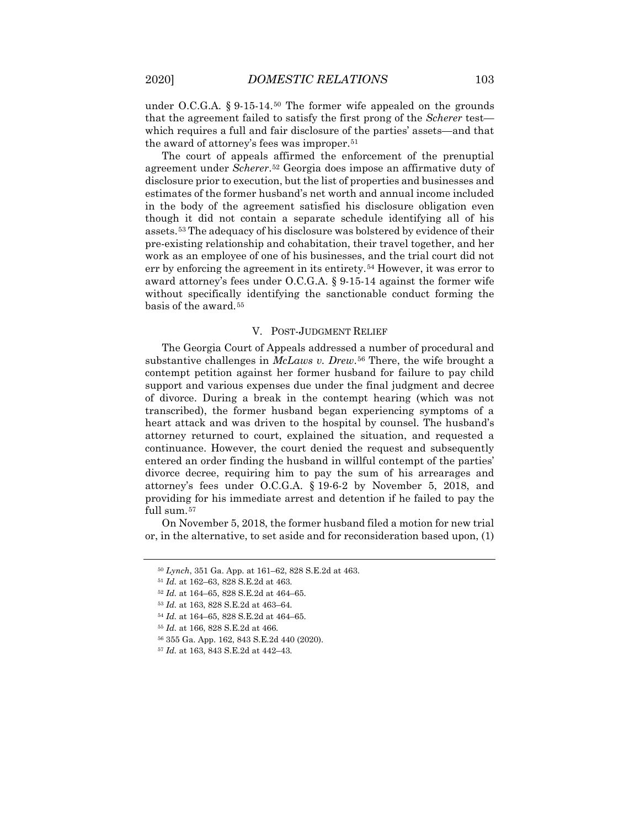under O.C.G.A. § 9-15-14.[50](#page-7-0) The former wife appealed on the grounds that the agreement failed to satisfy the first prong of the *Scherer* test which requires a full and fair disclosure of the parties' assets—and that the award of attorney's fees was improper.[51](#page-7-1)

The court of appeals affirmed the enforcement of the prenuptial agreement under *Scherer*.[52](#page-7-2) Georgia does impose an affirmative duty of disclosure prior to execution, but the list of properties and businesses and estimates of the former husband's net worth and annual income included in the body of the agreement satisfied his disclosure obligation even though it did not contain a separate schedule identifying all of his assets.[53](#page-7-3) The adequacy of his disclosure was bolstered by evidence of their pre-existing relationship and cohabitation, their travel together, and her work as an employee of one of his businesses, and the trial court did not err by enforcing the agreement in its entirety.<sup>[54](#page-7-4)</sup> However, it was error to award attorney's fees under O.C.G.A. § 9-15-14 against the former wife without specifically identifying the sanctionable conduct forming the basis of the award.[55](#page-7-5)

#### V. POST-JUDGMENT RELIEF

The Georgia Court of Appeals addressed a number of procedural and substantive challenges in *McLaws v. Drew*.<sup>[56](#page-7-6)</sup> There, the wife brought a contempt petition against her former husband for failure to pay child support and various expenses due under the final judgment and decree of divorce. During a break in the contempt hearing (which was not transcribed), the former husband began experiencing symptoms of a heart attack and was driven to the hospital by counsel. The husband's attorney returned to court, explained the situation, and requested a continuance. However, the court denied the request and subsequently entered an order finding the husband in willful contempt of the parties' divorce decree, requiring him to pay the sum of his arrearages and attorney's fees under O.C.G.A. § 19-6-2 by November 5, 2018, and providing for his immediate arrest and detention if he failed to pay the full sum.<sup>[57](#page-7-7)</sup>

<span id="page-7-1"></span><span id="page-7-0"></span>On November 5, 2018, the former husband filed a motion for new trial or, in the alternative, to set aside and for reconsideration based upon, (1)

<sup>50</sup> *Lynch*, 351 Ga. App. at 161–62, 828 S.E.2d at 463.

<sup>51</sup> *Id.* at 162–63, 828 S.E.2d at 463.

<span id="page-7-2"></span><sup>52</sup> *Id.* at 164–65, 828 S.E.2d at 464–65.

<span id="page-7-3"></span><sup>53</sup> *Id.* at 163, 828 S.E.2d at 463–64.

<span id="page-7-5"></span><span id="page-7-4"></span><sup>54</sup> *Id.* at 164–65, 828 S.E.2d at 464–65.

<sup>55</sup> *Id.* at 166, 828 S.E.2d at 466.

<sup>56</sup> 355 Ga. App. 162, 843 S.E.2d 440 (2020).

<span id="page-7-7"></span><span id="page-7-6"></span><sup>57</sup> *Id.* at 163, 843 S.E.2d at 442–43.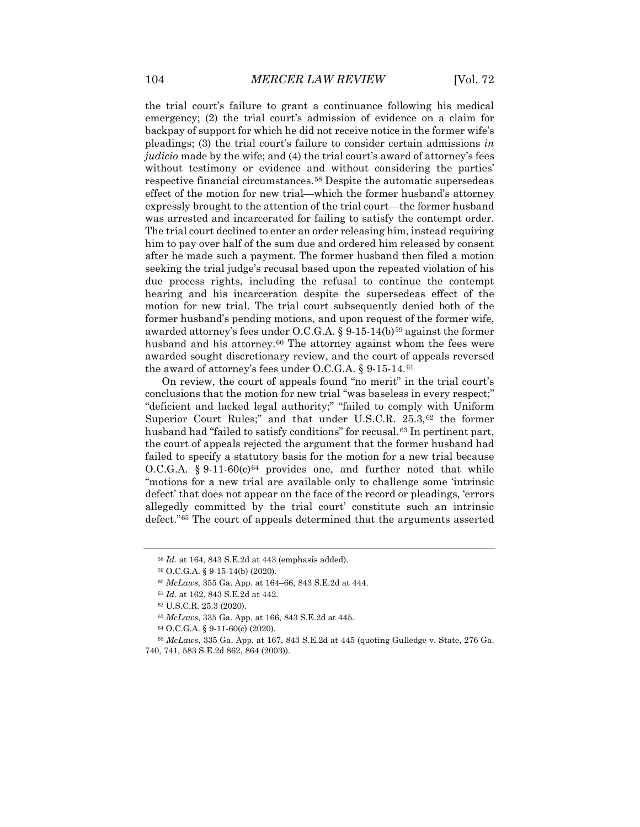the trial court's failure to grant a continuance following his medical emergency; (2) the trial court's admission of evidence on a claim for backpay of support for which he did not receive notice in the former wife's pleadings; (3) the trial court's failure to consider certain admissions *in judicio* made by the wife; and (4) the trial court's award of attorney's fees without testimony or evidence and without considering the parties' respective financial circumstances.[58](#page-8-0) Despite the automatic supersedeas effect of the motion for new trial—which the former husband's attorney expressly brought to the attention of the trial court—the former husband was arrested and incarcerated for failing to satisfy the contempt order. The trial court declined to enter an order releasing him, instead requiring him to pay over half of the sum due and ordered him released by consent after he made such a payment. The former husband then filed a motion seeking the trial judge's recusal based upon the repeated violation of his due process rights, including the refusal to continue the contempt hearing and his incarceration despite the supersedeas effect of the motion for new trial. The trial court subsequently denied both of the former husband's pending motions, and upon request of the former wife, awarded attorney's fees under O.C.G.A. § 9-15-14(b)<sup>[59](#page-8-1)</sup> against the former husband and his attorney.<sup>[60](#page-8-2)</sup> The attorney against whom the fees were awarded sought discretionary review, and the court of appeals reversed the award of attorney's fees under O.C.G.A. § 9-15-14.[61](#page-8-3)

On review, the court of appeals found "no merit" in the trial court's conclusions that the motion for new trial "was baseless in every respect;" "deficient and lacked legal authority;" "failed to comply with Uniform Superior Court Rules;" and that under U.S.C.R. 25.3,<sup>[62](#page-8-4)</sup> the former husband had "failed to satisfy conditions" for recusal.<sup>[63](#page-8-5)</sup> In pertinent part, the court of appeals rejected the argument that the former husband had failed to specify a statutory basis for the motion for a new trial because O.C.G.A. § 9-11-60 $(c)$ <sup>[64](#page-8-6)</sup> provides one, and further noted that while "motions for a new trial are available only to challenge some 'intrinsic defect' that does not appear on the face of the record or pleadings, 'errors allegedly committed by the trial court' constitute such an intrinsic defect."[65](#page-8-7) The court of appeals determined that the arguments asserted

<sup>58</sup> *Id.* at 164, 843 S.E.2d at 443 (emphasis added).

<span id="page-8-1"></span><span id="page-8-0"></span><sup>59</sup> O.C.G.A. § 9-15-14(b) (2020).

<sup>60</sup> *McLaws,* 355 Ga. App. at 164–66, 843 S.E.2d at 444.

<sup>61</sup> *Id.* at 162, 843 S.E.2d at 442.

<sup>62</sup> U.S.C.R. 25.3 (2020).

<sup>63</sup> *McLaws*, 335 Ga. App. at 166, 843 S.E.2d at 445.

<sup>64</sup> O.C.G.A. § 9-11-60(c) (2020).

<span id="page-8-7"></span><span id="page-8-6"></span><span id="page-8-5"></span><span id="page-8-4"></span><span id="page-8-3"></span><span id="page-8-2"></span><sup>65</sup> *McLaws*, 335 Ga. App. at 167, 843 S.E.2d at 445 (quoting Gulledge v. State, 276 Ga. 740, 741, 583 S.E.2d 862, 864 (2003)).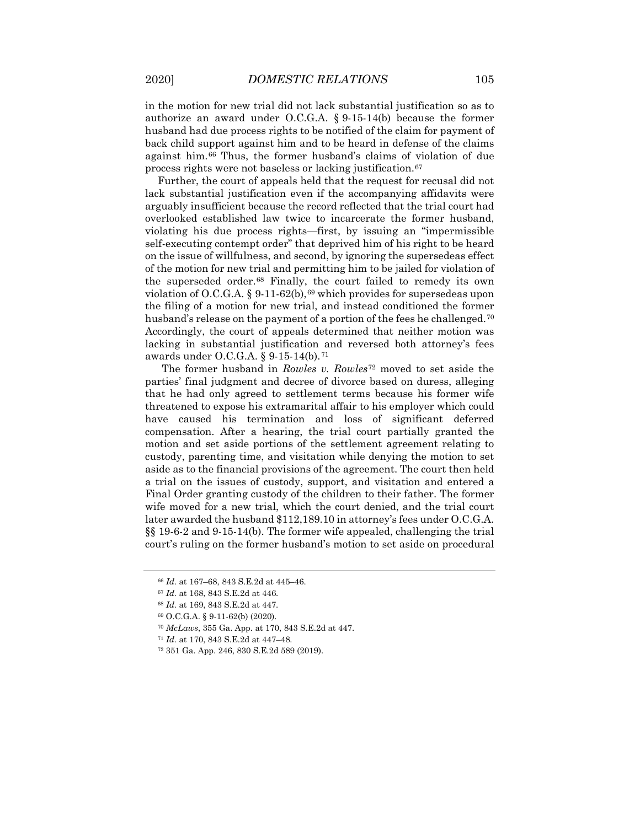in the motion for new trial did not lack substantial justification so as to authorize an award under O.C.G.A. § 9-15-14(b) because the former husband had due process rights to be notified of the claim for payment of back child support against him and to be heard in defense of the claims against him.[66](#page-9-0) Thus, the former husband's claims of violation of due process rights were not baseless or lacking justification.[67](#page-9-1)

Further, the court of appeals held that the request for recusal did not lack substantial justification even if the accompanying affidavits were arguably insufficient because the record reflected that the trial court had overlooked established law twice to incarcerate the former husband, violating his due process rights—first, by issuing an "impermissible self-executing contempt order" that deprived him of his right to be heard on the issue of willfulness, and second, by ignoring the supersedeas effect of the motion for new trial and permitting him to be jailed for violation of the superseded order.[68](#page-9-2) Finally, the court failed to remedy its own violation of O.C.G.A. § 9-11-62(b),  $69$  which provides for supersedeas upon the filing of a motion for new trial, and instead conditioned the former husband's release on the payment of a portion of the fees he challenged.<sup>[70](#page-9-4)</sup> Accordingly, the court of appeals determined that neither motion was lacking in substantial justification and reversed both attorney's fees awards under O.C.G.A. § 9-15-14(b).[71](#page-9-5)

The former husband in *Rowles v. Rowles*[72](#page-9-6) moved to set aside the parties' final judgment and decree of divorce based on duress, alleging that he had only agreed to settlement terms because his former wife threatened to expose his extramarital affair to his employer which could have caused his termination and loss of significant deferred compensation. After a hearing, the trial court partially granted the motion and set aside portions of the settlement agreement relating to custody, parenting time, and visitation while denying the motion to set aside as to the financial provisions of the agreement. The court then held a trial on the issues of custody, support, and visitation and entered a Final Order granting custody of the children to their father. The former wife moved for a new trial, which the court denied, and the trial court later awarded the husband \$112,189.10 in attorney's fees under O.C.G.A. §§ 19-6-2 and 9-15-14(b). The former wife appealed, challenging the trial court's ruling on the former husband's motion to set aside on procedural

<sup>66</sup> *Id.* at 167–68, 843 S.E.2d at 445–46.

<span id="page-9-1"></span><span id="page-9-0"></span><sup>67</sup> *Id.* at 168, 843 S.E.2d at 446.

<span id="page-9-2"></span><sup>68</sup> *Id.* at 169, 843 S.E.2d at 447.

<span id="page-9-3"></span><sup>69</sup> O.C.G.A. § 9-11-62(b) (2020).

<sup>70</sup> *McLaws*, 355 Ga. App. at 170, 843 S.E.2d at 447.

<span id="page-9-6"></span><span id="page-9-5"></span><span id="page-9-4"></span><sup>71</sup> *Id.* at 170, 843 S.E.2d at 447–48.

<sup>72</sup> 351 Ga. App. 246, 830 S.E.2d 589 (2019).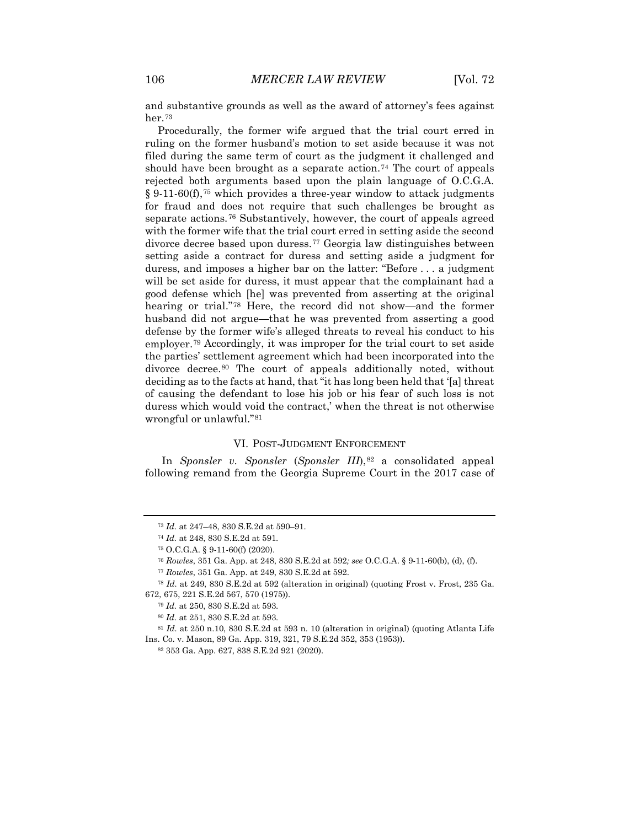and substantive grounds as well as the award of attorney's fees against her.[73](#page-10-0)

Procedurally, the former wife argued that the trial court erred in ruling on the former husband's motion to set aside because it was not filed during the same term of court as the judgment it challenged and should have been brought as a separate action.<sup>[74](#page-10-1)</sup> The court of appeals rejected both arguments based upon the plain language of O.C.G.A.  $§ 9.11.60(f),$ <sup>[75](#page-10-2)</sup> which provides a three-year window to attack judgments for fraud and does not require that such challenges be brought as separate actions.[76](#page-10-3) Substantively, however, the court of appeals agreed with the former wife that the trial court erred in setting aside the second divorce decree based upon duress.[77](#page-10-4) Georgia law distinguishes between setting aside a contract for duress and setting aside a judgment for duress, and imposes a higher bar on the latter: "Before . . . a judgment will be set aside for duress, it must appear that the complainant had a good defense which [he] was prevented from asserting at the original hearing or trial."[78](#page-10-5) Here, the record did not show—and the former husband did not argue—that he was prevented from asserting a good defense by the former wife's alleged threats to reveal his conduct to his employer.[79](#page-10-6) Accordingly, it was improper for the trial court to set aside the parties' settlement agreement which had been incorporated into the divorce decree.[80](#page-10-7) The court of appeals additionally noted, without deciding as to the facts at hand, that "it has long been held that '[a] threat of causing the defendant to lose his job or his fear of such loss is not duress which would void the contract,' when the threat is not otherwise wrongful or unlawful."[81](#page-10-8)

#### VI. POST-JUDGMENT ENFORCEMENT

In *Sponsler v. Sponsler* (*Sponsler III*),<sup>[82](#page-10-9)</sup> a consolidated appeal following remand from the Georgia Supreme Court in the 2017 case of

<span id="page-10-9"></span><span id="page-10-8"></span><span id="page-10-7"></span><sup>81</sup> *Id.* at 250 n.10, 830 S.E.2d at 593 n. 10 (alteration in original) (quoting Atlanta Life Ins. Co. v. Mason, 89 Ga. App. 319, 321, 79 S.E.2d 352, 353 (1953)).

<sup>82</sup> 353 Ga. App. 627, 838 S.E.2d 921 (2020).

<sup>73</sup> *Id.* at 247–48, 830 S.E.2d at 590–91.

<sup>74</sup> *Id.* at 248, 830 S.E.2d at 591.

<sup>75</sup> O.C.G.A. § 9-11-60(f) (2020).

<sup>76</sup> *Rowles*, 351 Ga. App. at 248, 830 S.E.2d at 592*; see* O.C.G.A. § 9-11-60(b), (d), (f).

<sup>77</sup> *Rowles*, 351 Ga. App. at 249, 830 S.E.2d at 592.

<span id="page-10-6"></span><span id="page-10-5"></span><span id="page-10-4"></span><span id="page-10-3"></span><span id="page-10-2"></span><span id="page-10-1"></span><span id="page-10-0"></span><sup>78</sup> *Id.* at 249, 830 S.E.2d at 592 (alteration in original) (quoting Frost v. Frost, 235 Ga. 672, 675, 221 S.E.2d 567, 570 (1975)).

<sup>79</sup> *Id.* at 250, 830 S.E.2d at 593.

<sup>80</sup> *Id.* at 251, 830 S.E.2d at 593.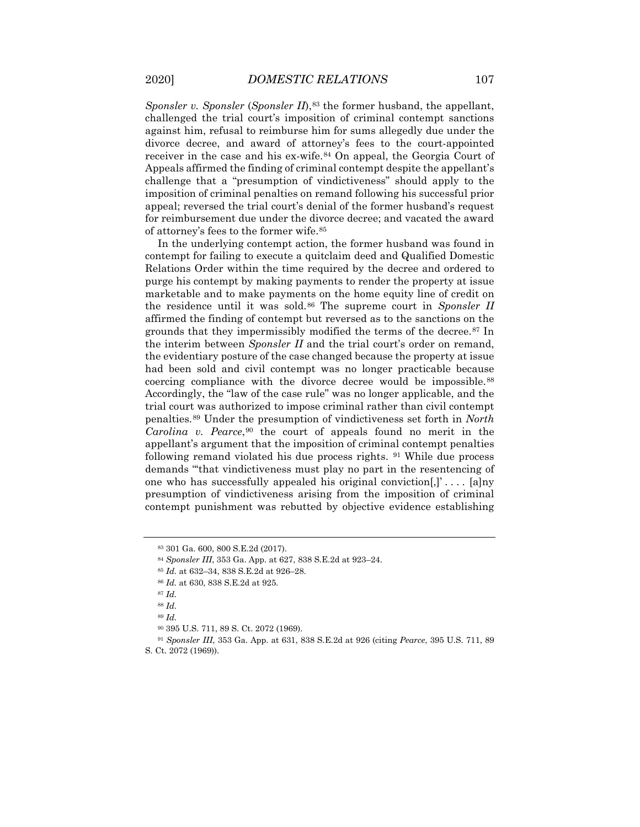*Sponsler v. Sponsler* (*Sponsler II*),<sup>[83](#page-11-0)</sup> the former husband, the appellant, challenged the trial court's imposition of criminal contempt sanctions against him, refusal to reimburse him for sums allegedly due under the divorce decree, and award of attorney's fees to the court-appointed receiver in the case and his ex-wife.[84](#page-11-1) On appeal, the Georgia Court of Appeals affirmed the finding of criminal contempt despite the appellant's challenge that a "presumption of vindictiveness" should apply to the imposition of criminal penalties on remand following his successful prior appeal; reversed the trial court's denial of the former husband's request for reimbursement due under the divorce decree; and vacated the award of attorney's fees to the former wife.[85](#page-11-2)

In the underlying contempt action, the former husband was found in contempt for failing to execute a quitclaim deed and Qualified Domestic Relations Order within the time required by the decree and ordered to purge his contempt by making payments to render the property at issue marketable and to make payments on the home equity line of credit on the residence until it was sold.[86](#page-11-3) The supreme court in *Sponsler II* affirmed the finding of contempt but reversed as to the sanctions on the grounds that they impermissibly modified the terms of the decree.[87](#page-11-4) In the interim between *Sponsler II* and the trial court's order on remand, the evidentiary posture of the case changed because the property at issue had been sold and civil contempt was no longer practicable because coercing compliance with the divorce decree would be impossible.[88](#page-11-5) Accordingly, the "law of the case rule" was no longer applicable, and the trial court was authorized to impose criminal rather than civil contempt penalties.[89](#page-11-6) Under the presumption of vindictiveness set forth in *North Carolina v. Pearce*,[90](#page-11-7) the court of appeals found no merit in the appellant's argument that the imposition of criminal contempt penalties following remand violated his due process rights. [91](#page-11-8) While due process demands "'that vindictiveness must play no part in the resentencing of one who has successfully appealed his original conviction[,]' . . . . [a]ny presumption of vindictiveness arising from the imposition of criminal contempt punishment was rebutted by objective evidence establishing

<span id="page-11-0"></span><sup>83</sup> 301 Ga. 600, 800 S.E.2d (2017).

<span id="page-11-1"></span><sup>84</sup> *Sponsler III*, 353 Ga. App. at 627, 838 S.E.2d at 923–24.

<span id="page-11-2"></span><sup>85</sup> *Id.* at 632–34, 838 S.E.2d at 926–28.

<sup>86</sup> *Id.* at 630, 838 S.E.2d at 925.

<span id="page-11-3"></span><sup>87</sup> *Id.*

<sup>88</sup> *Id.*

<sup>89</sup> *Id.*

<sup>90</sup> 395 U.S. 711, 89 S. Ct. 2072 (1969).

<span id="page-11-8"></span><span id="page-11-7"></span><span id="page-11-6"></span><span id="page-11-5"></span><span id="page-11-4"></span><sup>91</sup> *Sponsler III*, 353 Ga. App. at 631, 838 S.E.2d at 926 (citing *Pearce*, 395 U.S. 711, 89 S. Ct. 2072 (1969)).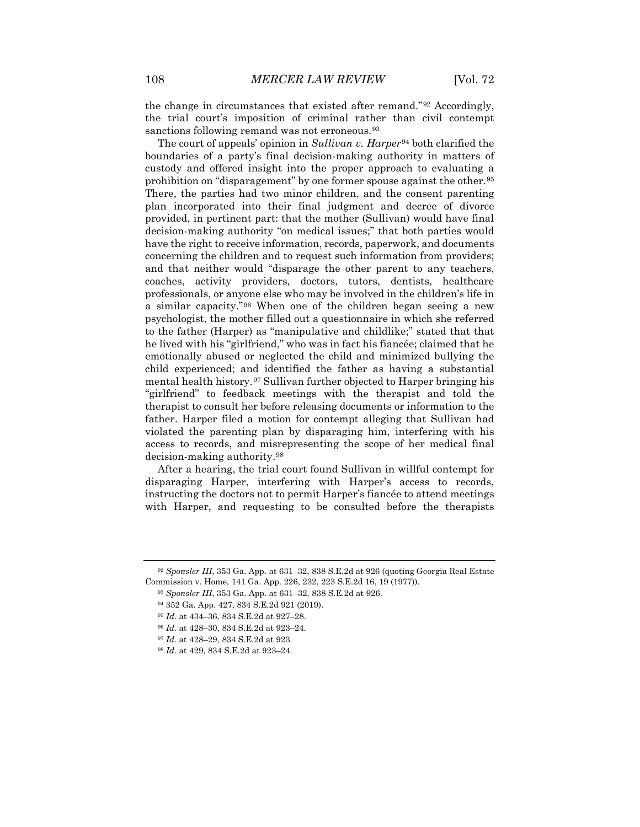the change in circumstances that existed after remand."[92](#page-12-0) Accordingly, the trial court's imposition of criminal rather than civil contempt sanctions following remand was not erroneous.<sup>[93](#page-12-1)</sup>

The court of appeals' opinion in *Sullivan v. Harper*[94](#page-12-2) both clarified the boundaries of a party's final decision-making authority in matters of custody and offered insight into the proper approach to evaluating a prohibition on "disparagement" by one former spouse against the other.[95](#page-12-3) There, the parties had two minor children, and the consent parenting plan incorporated into their final judgment and decree of divorce provided, in pertinent part: that the mother (Sullivan) would have final decision-making authority "on medical issues;" that both parties would have the right to receive information, records, paperwork, and documents concerning the children and to request such information from providers; and that neither would "disparage the other parent to any teachers, coaches, activity providers, doctors, tutors, dentists, healthcare professionals, or anyone else who may be involved in the children's life in a similar capacity."[96](#page-12-4) When one of the children began seeing a new psychologist, the mother filled out a questionnaire in which she referred to the father (Harper) as "manipulative and childlike;" stated that that he lived with his "girlfriend," who was in fact his fiancée; claimed that he emotionally abused or neglected the child and minimized bullying the child experienced; and identified the father as having a substantial mental health history.[97](#page-12-5) Sullivan further objected to Harper bringing his "girlfriend" to feedback meetings with the therapist and told the therapist to consult her before releasing documents or information to the father. Harper filed a motion for contempt alleging that Sullivan had violated the parenting plan by disparaging him, interfering with his access to records, and misrepresenting the scope of her medical final decision-making authority.[98](#page-12-6)

After a hearing, the trial court found Sullivan in willful contempt for disparaging Harper, interfering with Harper's access to records, instructing the doctors not to permit Harper's fiancée to attend meetings with Harper, and requesting to be consulted before the therapists

<span id="page-12-5"></span><sup>97</sup> *Id.* at 428–29, 834 S.E.2d at 923.

<span id="page-12-4"></span><span id="page-12-3"></span><span id="page-12-2"></span><span id="page-12-1"></span><span id="page-12-0"></span><sup>92</sup> *Sponsler III*, 353 Ga. App. at 631–32, 838 S.E.2d at 926 (quoting Georgia Real Estate Commission v. Home, 141 Ga. App. 226, 232, 223 S.E.2d 16, 19 (1977)).

<sup>93</sup> *Sponsler III*, 353 Ga. App. at 631–32, 838 S.E.2d at 926.

<sup>94</sup> 352 Ga. App. 427, 834 S.E.2d 921 (2019).

<sup>95</sup> *Id.* at 434–36, 834 S.E.2d at 927–28.

<sup>96</sup> *Id.* at 428–30, 834 S.E.2d at 923–24.

<span id="page-12-6"></span><sup>98</sup> *Id.* at 429, 834 S.E.2d at 923–24.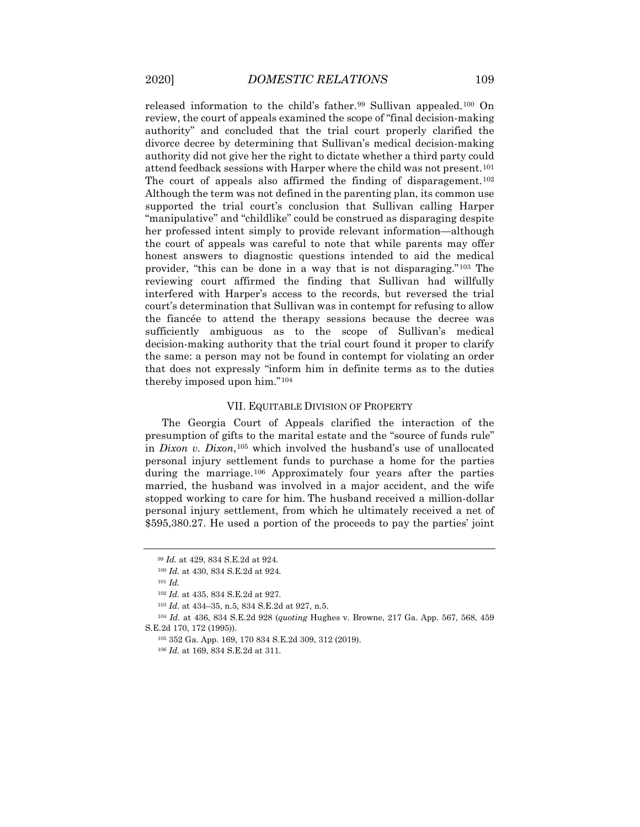released information to the child's father.<sup>[99](#page-13-0)</sup> Sullivan appealed.<sup>[100](#page-13-1)</sup> On review, the court of appeals examined the scope of "final decision-making authority" and concluded that the trial court properly clarified the divorce decree by determining that Sullivan's medical decision-making authority did not give her the right to dictate whether a third party could attend feedback sessions with Harper where the child was not present.[101](#page-13-2) The court of appeals also affirmed the finding of disparagement.<sup>[102](#page-13-3)</sup> Although the term was not defined in the parenting plan, its common use supported the trial court's conclusion that Sullivan calling Harper "manipulative" and "childlike" could be construed as disparaging despite her professed intent simply to provide relevant information—although the court of appeals was careful to note that while parents may offer honest answers to diagnostic questions intended to aid the medical provider, "this can be done in a way that is not disparaging."[103](#page-13-4) The reviewing court affirmed the finding that Sullivan had willfully interfered with Harper's access to the records, but reversed the trial court's determination that Sullivan was in contempt for refusing to allow the fiancée to attend the therapy sessions because the decree was sufficiently ambiguous as to the scope of Sullivan's medical decision-making authority that the trial court found it proper to clarify the same: a person may not be found in contempt for violating an order that does not expressly "inform him in definite terms as to the duties thereby imposed upon him."[104](#page-13-5)

#### VII. EQUITABLE DIVISION OF PROPERTY

The Georgia Court of Appeals clarified the interaction of the presumption of gifts to the marital estate and the "source of funds rule" in *Dixon v. Dixon*,[105](#page-13-6) which involved the husband's use of unallocated personal injury settlement funds to purchase a home for the parties during the marriage.[106](#page-13-7) Approximately four years after the parties married, the husband was involved in a major accident, and the wife stopped working to care for him. The husband received a million-dollar personal injury settlement, from which he ultimately received a net of \$595,380.27. He used a portion of the proceeds to pay the parties' joint

<sup>99</sup> *Id.* at 429, 834 S.E.2d at 924.

<sup>100</sup> *Id.* at 430, 834 S.E.2d at 924.

<sup>101</sup> *Id.*

<sup>102</sup> *Id.* at 435, 834 S.E.2d at 927.

<sup>103</sup> *Id.* at 434–35, n.5, 834 S.E.2d at 927, n.5.

<span id="page-13-7"></span><span id="page-13-6"></span><span id="page-13-5"></span><span id="page-13-4"></span><span id="page-13-3"></span><span id="page-13-2"></span><span id="page-13-1"></span><span id="page-13-0"></span><sup>104</sup> *Id.* at 436, 834 S.E.2d 928 (*quoting* Hughes v. Browne, 217 Ga. App. 567, 568, 459 S.E.2d 170, 172 (1995)).

<sup>105</sup> 352 Ga. App. 169, 170 834 S.E.2d 309, 312 (2019).

<sup>106</sup> *Id.* at 169, 834 S.E.2d at 311.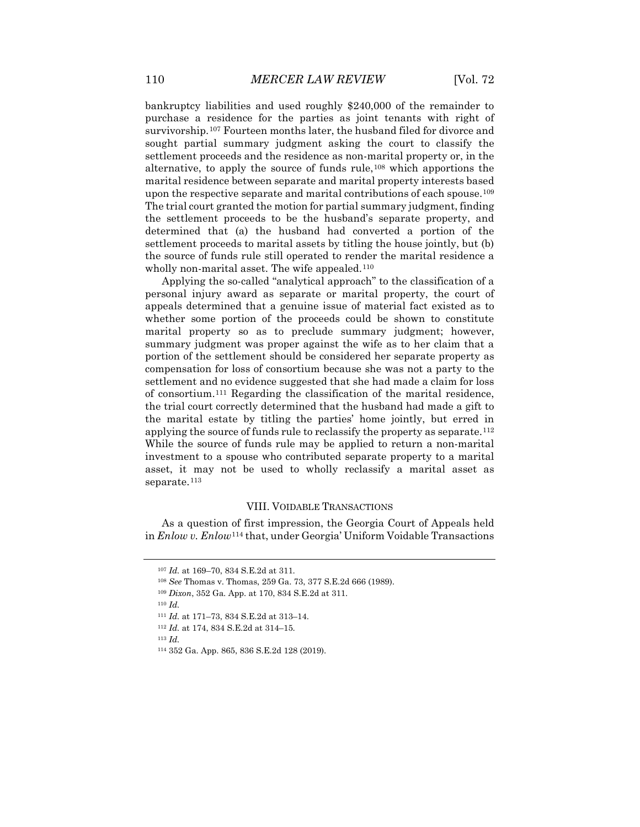bankruptcy liabilities and used roughly \$240,000 of the remainder to purchase a residence for the parties as joint tenants with right of survivorship.<sup>[107](#page-14-0)</sup> Fourteen months later, the husband filed for divorce and sought partial summary judgment asking the court to classify the settlement proceeds and the residence as non-marital property or, in the alternative, to apply the source of funds rule,[108](#page-14-1) which apportions the marital residence between separate and marital property interests based upon the respective separate and marital contributions of each spouse.<sup>[109](#page-14-2)</sup> The trial court granted the motion for partial summary judgment, finding the settlement proceeds to be the husband's separate property, and determined that (a) the husband had converted a portion of the settlement proceeds to marital assets by titling the house jointly, but (b) the source of funds rule still operated to render the marital residence a wholly non-marital asset. The wife appealed.<sup>[110](#page-14-3)</sup>

Applying the so-called "analytical approach" to the classification of a personal injury award as separate or marital property, the court of appeals determined that a genuine issue of material fact existed as to whether some portion of the proceeds could be shown to constitute marital property so as to preclude summary judgment; however, summary judgment was proper against the wife as to her claim that a portion of the settlement should be considered her separate property as compensation for loss of consortium because she was not a party to the settlement and no evidence suggested that she had made a claim for loss of consortium.[111](#page-14-4) Regarding the classification of the marital residence, the trial court correctly determined that the husband had made a gift to the marital estate by titling the parties' home jointly, but erred in applying the source of funds rule to reclassify the property as separate.<sup>[112](#page-14-5)</sup> While the source of funds rule may be applied to return a non-marital investment to a spouse who contributed separate property to a marital asset, it may not be used to wholly reclassify a marital asset as separate.<sup>[113](#page-14-6)</sup>

#### VIII. VOIDABLE TRANSACTIONS

<span id="page-14-1"></span><span id="page-14-0"></span>As a question of first impression, the Georgia Court of Appeals held in *Enlow v. Enlow*[114](#page-14-7) that, under Georgia' Uniform Voidable Transactions

<span id="page-14-7"></span><span id="page-14-6"></span><span id="page-14-5"></span><sup>113</sup> *Id.*

<sup>107</sup> *Id.* at 169–70, 834 S.E.2d at 311.

<sup>108</sup> *See* Thomas v. Thomas, 259 Ga. 73, 377 S.E.2d 666 (1989).

<sup>109</sup> *Dixon*, 352 Ga. App. at 170, 834 S.E.2d at 311.

<span id="page-14-4"></span><span id="page-14-3"></span><span id="page-14-2"></span><sup>110</sup> *Id.*

<sup>111</sup> *Id.* at 171–73, 834 S.E.2d at 313–14.

<sup>112</sup> *Id.* at 174, 834 S.E.2d at 314–15.

<sup>114</sup> 352 Ga. App. 865, 836 S.E.2d 128 (2019).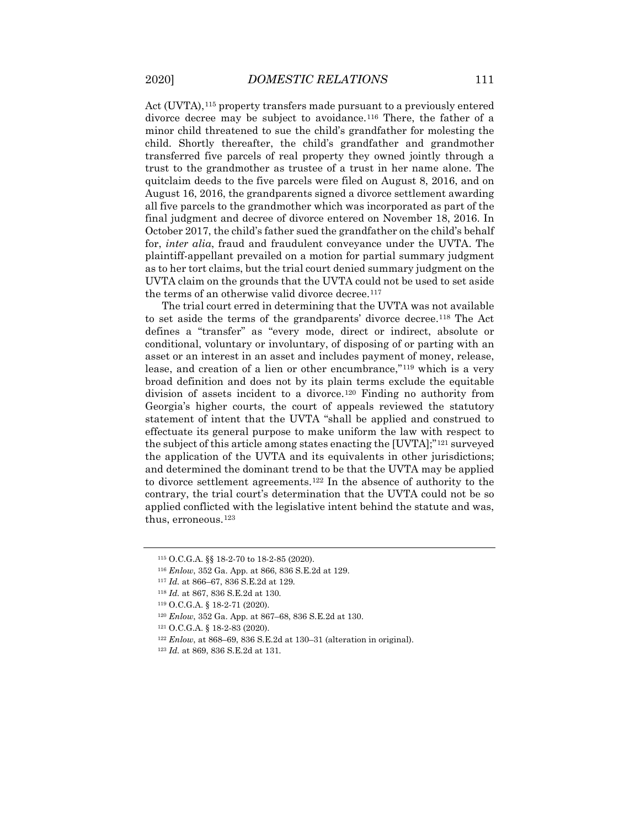Act (UVTA),<sup>[115](#page-15-0)</sup> property transfers made pursuant to a previously entered divorce decree may be subject to avoidance.<sup>[116](#page-15-1)</sup> There, the father of a minor child threatened to sue the child's grandfather for molesting the child. Shortly thereafter, the child's grandfather and grandmother transferred five parcels of real property they owned jointly through a trust to the grandmother as trustee of a trust in her name alone. The quitclaim deeds to the five parcels were filed on August 8, 2016, and on August 16, 2016, the grandparents signed a divorce settlement awarding all five parcels to the grandmother which was incorporated as part of the final judgment and decree of divorce entered on November 18, 2016. In October 2017, the child's father sued the grandfather on the child's behalf for, *inter alia*, fraud and fraudulent conveyance under the UVTA. The plaintiff-appellant prevailed on a motion for partial summary judgment as to her tort claims, but the trial court denied summary judgment on the UVTA claim on the grounds that the UVTA could not be used to set aside the terms of an otherwise valid divorce decree.<sup>[117](#page-15-2)</sup>

The trial court erred in determining that the UVTA was not available to set aside the terms of the grandparents' divorce decree.[118](#page-15-3) The Act defines a "transfer" as "every mode, direct or indirect, absolute or conditional, voluntary or involuntary, of disposing of or parting with an asset or an interest in an asset and includes payment of money, release, lease, and creation of a lien or other encumbrance,"[119](#page-15-4) which is a very broad definition and does not by its plain terms exclude the equitable division of assets incident to a divorce.[120](#page-15-5) Finding no authority from Georgia's higher courts, the court of appeals reviewed the statutory statement of intent that the UVTA "shall be applied and construed to effectuate its general purpose to make uniform the law with respect to the subject of this article among states enacting the [UVTA];"[121](#page-15-6) surveyed the application of the UVTA and its equivalents in other jurisdictions; and determined the dominant trend to be that the UVTA may be applied to divorce settlement agreements.[122](#page-15-7) In the absence of authority to the contrary, the trial court's determination that the UVTA could not be so applied conflicted with the legislative intent behind the statute and was, thus, erroneous.[123](#page-15-8)

<span id="page-15-0"></span><sup>115</sup> O.C.G.A. §§ 18-2-70 to 18-2-85 (2020).

<span id="page-15-2"></span><span id="page-15-1"></span><sup>116</sup> *Enlow*, 352 Ga. App. at 866, 836 S.E.2d at 129.

<span id="page-15-3"></span><sup>117</sup> *Id.* at 866–67, 836 S.E.2d at 129.

<sup>118</sup> *Id.* at 867, 836 S.E.2d at 130.

<span id="page-15-4"></span><sup>119</sup> O.C.G.A. § 18-2-71 (2020).

<span id="page-15-5"></span><sup>120</sup> *Enlow*, 352 Ga. App. at 867–68, 836 S.E.2d at 130.

<span id="page-15-6"></span><sup>121</sup> O.C.G.A. § 18-2-83 (2020).

<span id="page-15-7"></span><sup>122</sup> *Enlow*, at 868–69, 836 S.E.2d at 130–31 (alteration in original).

<span id="page-15-8"></span><sup>123</sup> *Id.* at 869, 836 S.E.2d at 131.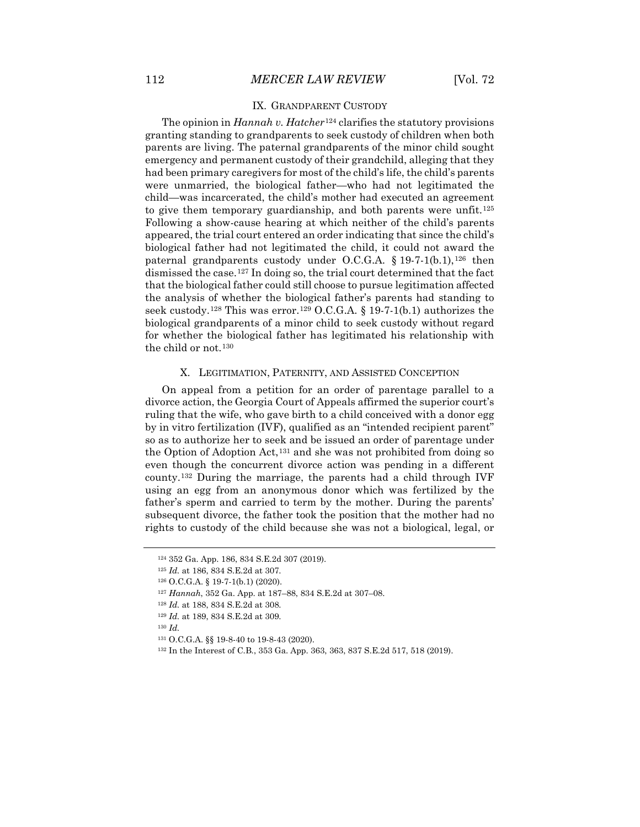#### IX. GRANDPARENT CUSTODY

The opinion in *Hannah v. Hatcher*[124](#page-16-0) clarifies the statutory provisions granting standing to grandparents to seek custody of children when both parents are living. The paternal grandparents of the minor child sought emergency and permanent custody of their grandchild, alleging that they had been primary caregivers for most of the child's life, the child's parents were unmarried, the biological father—who had not legitimated the child—was incarcerated, the child's mother had executed an agreement to give them temporary guardianship, and both parents were unfit.<sup>[125](#page-16-1)</sup> Following a show-cause hearing at which neither of the child's parents appeared, the trial court entered an order indicating that since the child's biological father had not legitimated the child, it could not award the paternal grandparents custody under O.C.G.A.  $§$  19-7-1(b.1),<sup>[126](#page-16-2)</sup> then dismissed the case.[127](#page-16-3) In doing so, the trial court determined that the fact that the biological father could still choose to pursue legitimation affected the analysis of whether the biological father's parents had standing to seek custody.<sup>[128](#page-16-4)</sup> This was error.<sup>[129](#page-16-5)</sup> O.C.G.A. § 19-7-1(b.1) authorizes the biological grandparents of a minor child to seek custody without regard for whether the biological father has legitimated his relationship with the child or not.[130](#page-16-6)

## X. LEGITIMATION, PATERNITY, AND ASSISTED CONCEPTION

On appeal from a petition for an order of parentage parallel to a divorce action, the Georgia Court of Appeals affirmed the superior court's ruling that the wife, who gave birth to a child conceived with a donor egg by in vitro fertilization (IVF), qualified as an "intended recipient parent" so as to authorize her to seek and be issued an order of parentage under the Option of Adoption Act,[131](#page-16-7) and she was not prohibited from doing so even though the concurrent divorce action was pending in a different county.[132](#page-16-8) During the marriage, the parents had a child through IVF using an egg from an anonymous donor which was fertilized by the father's sperm and carried to term by the mother. During the parents' subsequent divorce, the father took the position that the mother had no rights to custody of the child because she was not a biological, legal, or

<sup>124</sup> 352 Ga. App. 186, 834 S.E.2d 307 (2019).

<span id="page-16-2"></span><span id="page-16-1"></span><span id="page-16-0"></span><sup>125</sup> *Id.* at 186, 834 S.E.2d at 307.

<sup>126</sup> O.C.G.A. § 19-7-1(b.1) (2020).

<span id="page-16-3"></span><sup>127</sup> *Hannah*, 352 Ga. App. at 187–88, 834 S.E.2d at 307–08.

<span id="page-16-4"></span><sup>128</sup> *Id.* at 188, 834 S.E.2d at 308.

<sup>129</sup> *Id.* at 189, 834 S.E.2d at 309.

<span id="page-16-7"></span><span id="page-16-6"></span><span id="page-16-5"></span><sup>130</sup> *Id.*

<sup>131</sup> O.C.G.A. §§ 19-8-40 to 19-8-43 (2020).

<span id="page-16-8"></span><sup>132</sup> In the Interest of C.B., 353 Ga. App. 363, 363, 837 S.E.2d 517, 518 (2019).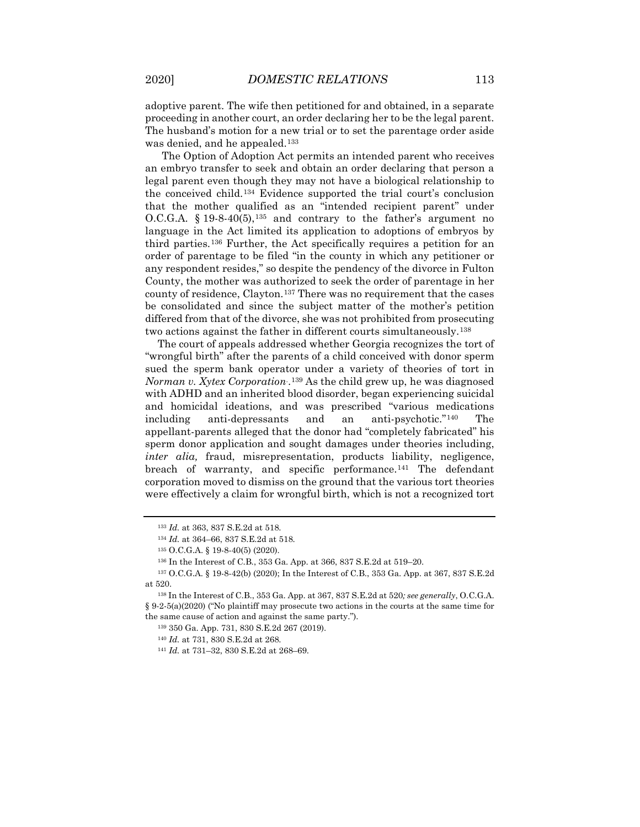adoptive parent. The wife then petitioned for and obtained, in a separate proceeding in another court, an order declaring her to be the legal parent. The husband's motion for a new trial or to set the parentage order aside was denied, and he appealed.<sup>[133](#page-17-0)</sup>

The Option of Adoption Act permits an intended parent who receives an embryo transfer to seek and obtain an order declaring that person a legal parent even though they may not have a biological relationship to the conceived child.[134](#page-17-1) Evidence supported the trial court's conclusion that the mother qualified as an "intended recipient parent" under O.C.G.A.  $\S$  19-8-40(5),<sup>[135](#page-17-2)</sup> and contrary to the father's argument no language in the Act limited its application to adoptions of embryos by third parties.[136](#page-17-3) Further, the Act specifically requires a petition for an order of parentage to be filed "in the county in which any petitioner or any respondent resides," so despite the pendency of the divorce in Fulton County, the mother was authorized to seek the order of parentage in her county of residence, Clayton.[137](#page-17-4) There was no requirement that the cases be consolidated and since the subject matter of the mother's petition differed from that of the divorce, she was not prohibited from prosecuting two actions against the father in different courts simultaneously.[138](#page-17-5)

The court of appeals addressed whether Georgia recognizes the tort of "wrongful birth" after the parents of a child conceived with donor sperm sued the sperm bank operator under a variety of theories of tort in *Norman v. Xytex Corporation*. .[139](#page-17-6) As the child grew up, he was diagnosed with ADHD and an inherited blood disorder, began experiencing suicidal and homicidal ideations, and was prescribed "various medications including anti-depressants and an anti-psychotic."[140](#page-17-7) The appellant-parents alleged that the donor had "completely fabricated" his sperm donor application and sought damages under theories including, *inter alia*, fraud, misrepresentation, products liability, negligence, breach of warranty, and specific performance.<sup>[141](#page-17-8)</sup> The defendant corporation moved to dismiss on the ground that the various tort theories were effectively a claim for wrongful birth, which is not a recognized tort

<sup>133</sup> *Id.* at 363, 837 S.E.2d at 518.

<sup>134</sup> *Id.* at 364–66, 837 S.E.2d at 518.

<sup>135</sup> O.C.G.A. § 19-8-40(5) (2020).

<sup>136</sup> In the Interest of C.B., 353 Ga. App. at 366, 837 S.E.2d at 519–20.

<span id="page-17-4"></span><span id="page-17-3"></span><span id="page-17-2"></span><span id="page-17-1"></span><span id="page-17-0"></span><sup>137</sup> O.C.G.A. § 19-8-42(b) (2020); In the Interest of C.B., 353 Ga. App. at 367, 837 S.E.2d at 520.

<span id="page-17-8"></span><span id="page-17-7"></span><span id="page-17-6"></span><span id="page-17-5"></span><sup>138</sup> In the Interest of C.B., 353 Ga. App. at 367, 837 S.E.2d at 520*; see generally*, O.C.G.A. § 9-2-5(a)(2020) ("No plaintiff may prosecute two actions in the courts at the same time for the same cause of action and against the same party.").

<sup>139</sup> 350 Ga. App. 731, 830 S.E.2d 267 (2019).

<sup>140</sup> *Id.* at 731, 830 S.E.2d at 268.

<sup>141</sup> *Id.* at 731–32, 830 S.E.2d at 268–69.